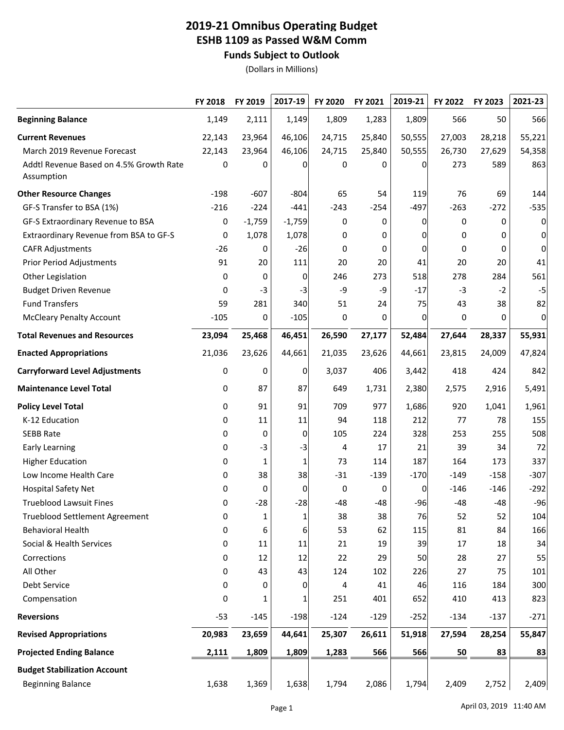## **2019-21 Omnibus Operating Budget ESHB 1109 as Passed W&M Comm Funds Subject to Outlook**

(Dollars in Millions)

|                                                       | FY 2018 | FY 2019      | 2017-19      | FY 2020 | FY 2021 | 2019-21 | FY 2022 | FY 2023 | 2021-23 |
|-------------------------------------------------------|---------|--------------|--------------|---------|---------|---------|---------|---------|---------|
| <b>Beginning Balance</b>                              | 1,149   | 2,111        | 1,149        | 1,809   | 1,283   | 1,809   | 566     | 50      | 566     |
| <b>Current Revenues</b>                               | 22,143  | 23,964       | 46,106       | 24,715  | 25,840  | 50,555  | 27,003  | 28,218  | 55,221  |
| March 2019 Revenue Forecast                           | 22,143  | 23,964       | 46,106       | 24,715  | 25,840  | 50,555  | 26,730  | 27,629  | 54,358  |
| Addtl Revenue Based on 4.5% Growth Rate<br>Assumption | 0       | 0            | 0            | 0       | 0       | 0       | 273     | 589     | 863     |
| <b>Other Resource Changes</b>                         | $-198$  | $-607$       | $-804$       | 65      | 54      | 119     | 76      | 69      | 144     |
| GF-S Transfer to BSA (1%)                             | $-216$  | $-224$       | $-441$       | $-243$  | $-254$  | $-497$  | $-263$  | $-272$  | $-535$  |
| GF-S Extraordinary Revenue to BSA                     | 0       | $-1,759$     | $-1,759$     | 0       | 0       | 0       | 0       | 0       | 0       |
| Extraordinary Revenue from BSA to GF-S                | 0       | 1,078        | 1,078        | 0       | 0       | O       | 0       | 0       | 0       |
| <b>CAFR Adjustments</b>                               | $-26$   | 0            | $-26$        | 0       | 0       | 0       | 0       | 0       | 0       |
| <b>Prior Period Adjustments</b>                       | 91      | 20           | 111          | 20      | 20      | 41      | 20      | 20      | 41      |
| Other Legislation                                     | 0       | 0            | 0            | 246     | 273     | 518     | 278     | 284     | 561     |
| <b>Budget Driven Revenue</b>                          | 0       | $-3$         | $-3$         | -9      | -9      | $-17$   | $-3$    | $-2$    | $-5$    |
| <b>Fund Transfers</b>                                 | 59      | 281          | 340          | 51      | 24      | 75      | 43      | 38      | 82      |
| <b>McCleary Penalty Account</b>                       | $-105$  | 0            | $-105$       | 0       | 0       | 0       | 0       | 0       | 0       |
| <b>Total Revenues and Resources</b>                   | 23,094  | 25,468       | 46,451       | 26,590  | 27,177  | 52,484  | 27,644  | 28,337  | 55,931  |
| <b>Enacted Appropriations</b>                         | 21,036  | 23,626       | 44,661       | 21,035  | 23,626  | 44,661  | 23,815  | 24,009  | 47,824  |
| <b>Carryforward Level Adjustments</b>                 | 0       | 0            | 0            | 3,037   | 406     | 3,442   | 418     | 424     | 842     |
| <b>Maintenance Level Total</b>                        | 0       | 87           | 87           | 649     | 1,731   | 2,380   | 2,575   | 2,916   | 5,491   |
| <b>Policy Level Total</b>                             | 0       | 91           | 91           | 709     | 977     | 1,686   | 920     | 1,041   | 1,961   |
| K-12 Education                                        | 0       | 11           | 11           | 94      | 118     | 212     | 77      | 78      | 155     |
| <b>SEBB Rate</b>                                      | 0       | 0            | 0            | 105     | 224     | 328     | 253     | 255     | 508     |
| <b>Early Learning</b>                                 | 0       | $-3$         | $-3$         | 4       | 17      | 21      | 39      | 34      | 72      |
| <b>Higher Education</b>                               | 0       | $\mathbf{1}$ | 1            | 73      | 114     | 187     | 164     | 173     | 337     |
| Low Income Health Care                                | 0       | 38           | 38           | $-31$   | $-139$  | $-170$  | $-149$  | $-158$  | $-307$  |
| <b>Hospital Safety Net</b>                            | 0       | 0            | 0            | 0       | 0       | 0       | $-146$  | $-146$  | $-292$  |
| <b>Trueblood Lawsuit Fines</b>                        | 0       | $-28$        | $-28$        | $-48$   | $-48$   | $-96$   | $-48$   | $-48$   | $-96$   |
| <b>Trueblood Settlement Agreement</b>                 | 0       | 1            | 1            | 38      | 38      | 76      | 52      | 52      | 104     |
| <b>Behavioral Health</b>                              | 0       | 6            | 6            | 53      | 62      | 115     | 81      | 84      | 166     |
| Social & Health Services                              | 0       | 11           | 11           | 21      | 19      | 39      | 17      | 18      | 34      |
| Corrections                                           | 0       | 12           | 12           | 22      | 29      | 50      | 28      | 27      | 55      |
| All Other                                             | 0       | 43           | 43           | 124     | 102     | 226     | 27      | 75      | 101     |
| Debt Service                                          | 0       | 0            | $\mathbf{0}$ | 4       | 41      | 46      | 116     | 184     | 300     |
| Compensation                                          | 0       | 1            | 1            | 251     | 401     | 652     | 410     | 413     | 823     |
| <b>Reversions</b>                                     | $-53$   | $-145$       | $-198$       | $-124$  | $-129$  | $-252$  | $-134$  | $-137$  | $-271$  |
| <b>Revised Appropriations</b>                         | 20,983  | 23,659       | 44,641       | 25,307  | 26,611  | 51,918  | 27,594  | 28,254  | 55,847  |
| <b>Projected Ending Balance</b>                       | 2,111   | 1,809        | 1,809        | 1,283   | 566     | 566     | 50      | 83      | 83      |
| <b>Budget Stabilization Account</b>                   |         |              |              |         |         |         |         |         |         |
| <b>Beginning Balance</b>                              | 1,638   | 1,369        | 1,638        | 1,794   | 2,086   | 1,794   | 2,409   | 2,752   | 2,409   |